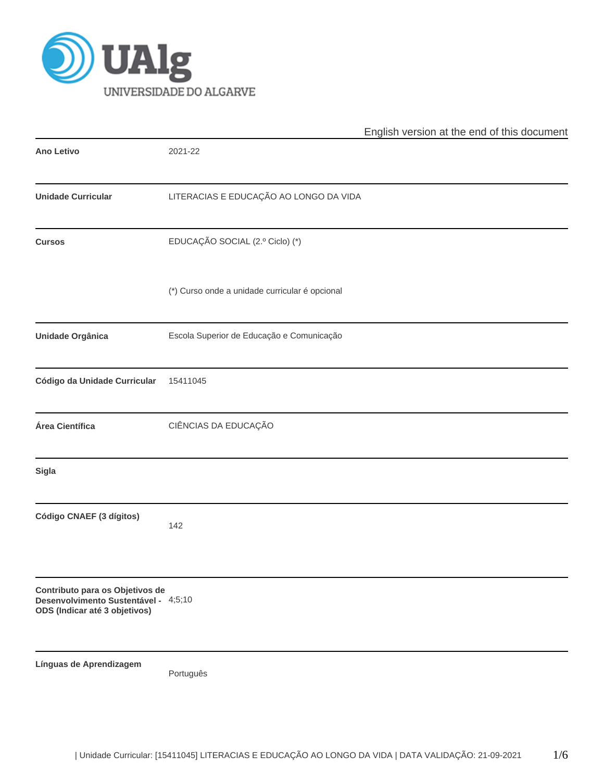

|                                                                                                          |                                                | English version at the end of this document |
|----------------------------------------------------------------------------------------------------------|------------------------------------------------|---------------------------------------------|
| <b>Ano Letivo</b>                                                                                        | 2021-22                                        |                                             |
| <b>Unidade Curricular</b>                                                                                | LITERACIAS E EDUCAÇÃO AO LONGO DA VIDA         |                                             |
| <b>Cursos</b>                                                                                            | EDUCAÇÃO SOCIAL (2.º Ciclo) (*)                |                                             |
|                                                                                                          | (*) Curso onde a unidade curricular é opcional |                                             |
| Unidade Orgânica                                                                                         | Escola Superior de Educação e Comunicação      |                                             |
| Código da Unidade Curricular                                                                             | 15411045                                       |                                             |
| Área Científica                                                                                          | CIÊNCIAS DA EDUCAÇÃO                           |                                             |
| <b>Sigla</b>                                                                                             |                                                |                                             |
| Código CNAEF (3 dígitos)                                                                                 | 142                                            |                                             |
| Contributo para os Objetivos de<br>Desenvolvimento Sustentável - 4;5;10<br>ODS (Indicar até 3 objetivos) |                                                |                                             |
| Línguas de Aprendizagem                                                                                  | Português                                      |                                             |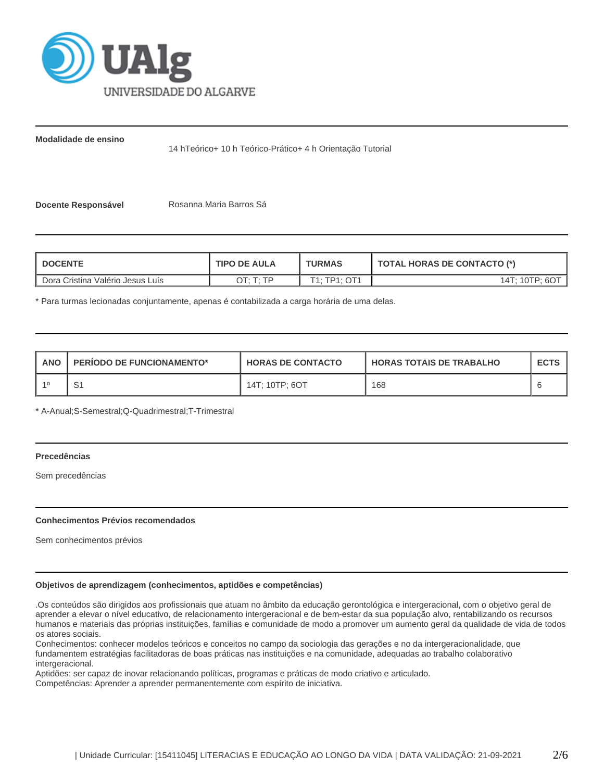

**Modalidade de ensino**

14 hTeórico+ 10 h Teórico-Prático+ 4 h Orientação Tutorial

**Docente Responsável | Rosanna Maria Barros Sá** 

| <b>DOCENTE</b>                   | <b>TIPO DE AULA</b> | <b>TURMAS</b> | <b>TOTAL HORAS DE CONTACTO (*)</b> |  |  |
|----------------------------------|---------------------|---------------|------------------------------------|--|--|
| Dora Cristina Valério Jesus Luís | OT: T: TP           | T1: TP1: OT1  | 14T: 10TP: 6OT                     |  |  |

\* Para turmas lecionadas conjuntamente, apenas é contabilizada a carga horária de uma delas.

| <b>ANO</b> | <b>PERIODO DE FUNCIONAMENTO*</b> | <b>HORAS DE CONTACTO</b> | <b>HORAS TOTAIS DE TRABALHO</b> | <b>ECTS</b> |
|------------|----------------------------------|--------------------------|---------------------------------|-------------|
|            | ا ب                              | 14T: 10TP: 6OT           | 168                             |             |

\* A-Anual;S-Semestral;Q-Quadrimestral;T-Trimestral

# **Precedências**

Sem precedências

## **Conhecimentos Prévios recomendados**

Sem conhecimentos prévios

# **Objetivos de aprendizagem (conhecimentos, aptidões e competências)**

.Os conteúdos são dirigidos aos profissionais que atuam no âmbito da educação gerontológica e intergeracional, com o objetivo geral de aprender a elevar o nível educativo, de relacionamento intergeracional e de bem-estar da sua população alvo, rentabilizando os recursos humanos e materiais das próprias instituições, famílias e comunidade de modo a promover um aumento geral da qualidade de vida de todos os atores sociais.

Conhecimentos: conhecer modelos teóricos e conceitos no campo da sociologia das gerações e no da intergeracionalidade, que fundamentem estratégias facilitadoras de boas práticas nas instituições e na comunidade, adequadas ao trabalho colaborativo intergeracional.

Aptidões: ser capaz de inovar relacionando políticas, programas e práticas de modo criativo e articulado.

Competências: Aprender a aprender permanentemente com espírito de iniciativa.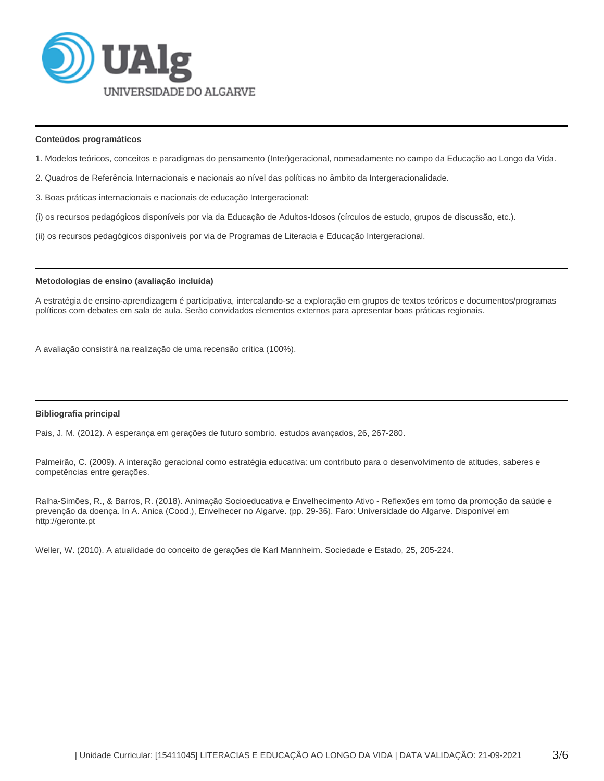

### **Conteúdos programáticos**

- 1. Modelos teóricos, conceitos e paradigmas do pensamento (Inter)geracional, nomeadamente no campo da Educação ao Longo da Vida.
- 2. Quadros de Referência Internacionais e nacionais ao nível das políticas no âmbito da Intergeracionalidade.
- 3. Boas práticas internacionais e nacionais de educação Intergeracional:
- (i) os recursos pedagógicos disponíveis por via da Educação de Adultos-Idosos (círculos de estudo, grupos de discussão, etc.).
- (ii) os recursos pedagógicos disponíveis por via de Programas de Literacia e Educação Intergeracional.

## **Metodologias de ensino (avaliação incluída)**

A estratégia de ensino-aprendizagem é participativa, intercalando-se a exploração em grupos de textos teóricos e documentos/programas políticos com debates em sala de aula. Serão convidados elementos externos para apresentar boas práticas regionais.

A avaliação consistirá na realização de uma recensão crítica (100%).

#### **Bibliografia principal**

Pais, J. M. (2012). A esperança em gerações de futuro sombrio. estudos avançados, 26, 267-280.

Palmeirão, C. (2009). A interação geracional como estratégia educativa: um contributo para o desenvolvimento de atitudes, saberes e competências entre gerações.

Ralha-Simões, R., & Barros, R. (2018). Animação Socioeducativa e Envelhecimento Ativo - Reflexões em torno da promoção da saúde e prevenção da doença. In A. Anica (Cood.), Envelhecer no Algarve. (pp. 29-36). Faro: Universidade do Algarve. Disponível em http://geronte.pt

Weller, W. (2010). A atualidade do conceito de gerações de Karl Mannheim. Sociedade e Estado, 25, 205-224.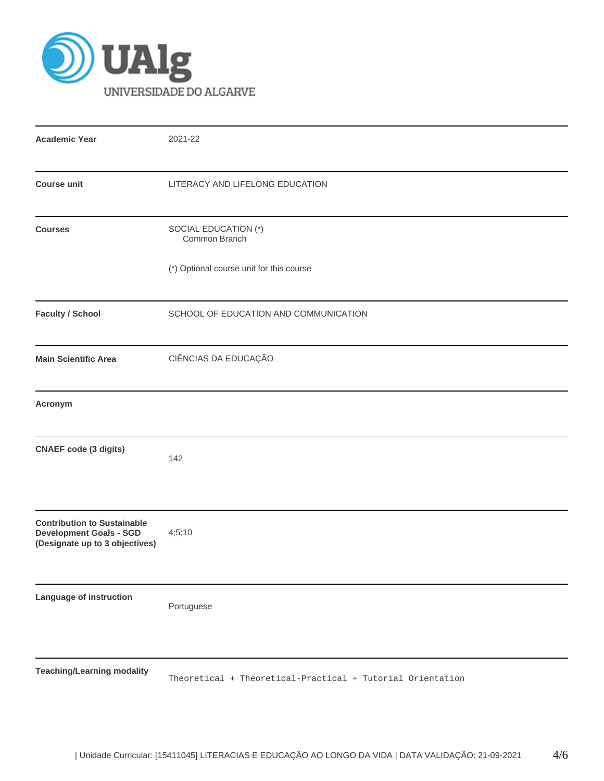

| <b>Academic Year</b>                                                                                   | 2021-22                                                    |
|--------------------------------------------------------------------------------------------------------|------------------------------------------------------------|
| <b>Course unit</b>                                                                                     | LITERACY AND LIFELONG EDUCATION                            |
| <b>Courses</b>                                                                                         | SOCIAL EDUCATION (*)<br>Common Branch                      |
|                                                                                                        | (*) Optional course unit for this course                   |
| <b>Faculty / School</b>                                                                                | SCHOOL OF EDUCATION AND COMMUNICATION                      |
| <b>Main Scientific Area</b>                                                                            | CIÊNCIAS DA EDUCAÇÃO                                       |
| Acronym                                                                                                |                                                            |
| <b>CNAEF</b> code (3 digits)                                                                           | 142                                                        |
| <b>Contribution to Sustainable</b><br><b>Development Goals - SGD</b><br>(Designate up to 3 objectives) | 4;5;10                                                     |
| Language of instruction                                                                                | Portuguese                                                 |
| <b>Teaching/Learning modality</b>                                                                      | Theoretical + Theoretical-Practical + Tutorial Orientation |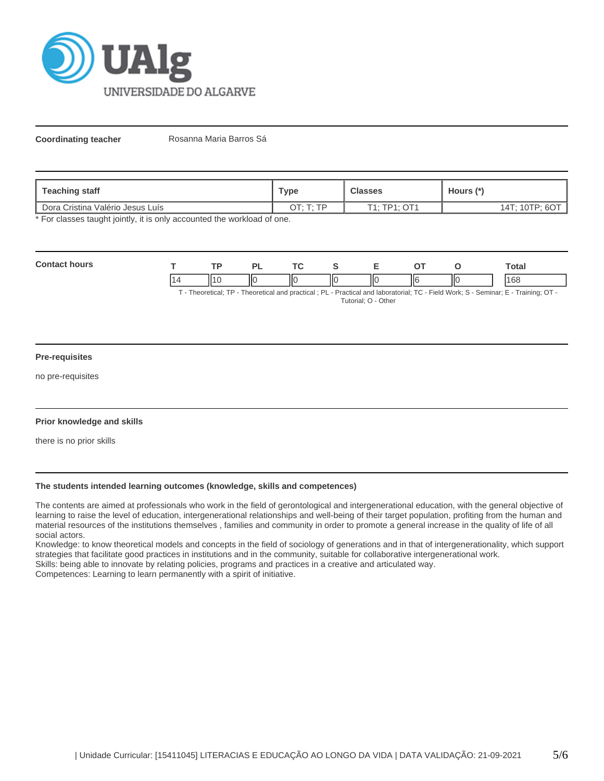

**Coordinating teacher** Rosanna Maria Barros Sá

| Teaching staff                   | Type      | <b>Classes</b> | Hours $(*)$    |  |
|----------------------------------|-----------|----------------|----------------|--|
| Dora Cristina Valério Jesus Luís | OT: T: TP | T1: TP1: OT1   | 14T; 10TP; 6OT |  |

\* For classes taught jointly, it is only accounted the workload of one.

| Cont | <b>TD</b> |    | <u>те</u> |    |     |    | otal        |
|------|-----------|----|-----------|----|-----|----|-------------|
|      | . .       | ΠС | IК        | ШC | IIЄ | ΙЮ | 100<br>. UU |

T - Theoretical; TP - Theoretical and practical ; PL - Practical and laboratorial; TC - Field Work; S - Seminar; E - Training; OT - Tutorial; O - Other

### **Pre-requisites**

no pre-requisites

## **Prior knowledge and skills**

there is no prior skills

#### **The students intended learning outcomes (knowledge, skills and competences)**

The contents are aimed at professionals who work in the field of gerontological and intergenerational education, with the general objective of learning to raise the level of education, intergenerational relationships and well-being of their target population, profiting from the human and material resources of the institutions themselves , families and community in order to promote a general increase in the quality of life of all social actors.

Knowledge: to know theoretical models and concepts in the field of sociology of generations and in that of intergenerationality, which support strategies that facilitate good practices in institutions and in the community, suitable for collaborative intergenerational work. Skills: being able to innovate by relating policies, programs and practices in a creative and articulated way.

Competences: Learning to learn permanently with a spirit of initiative.